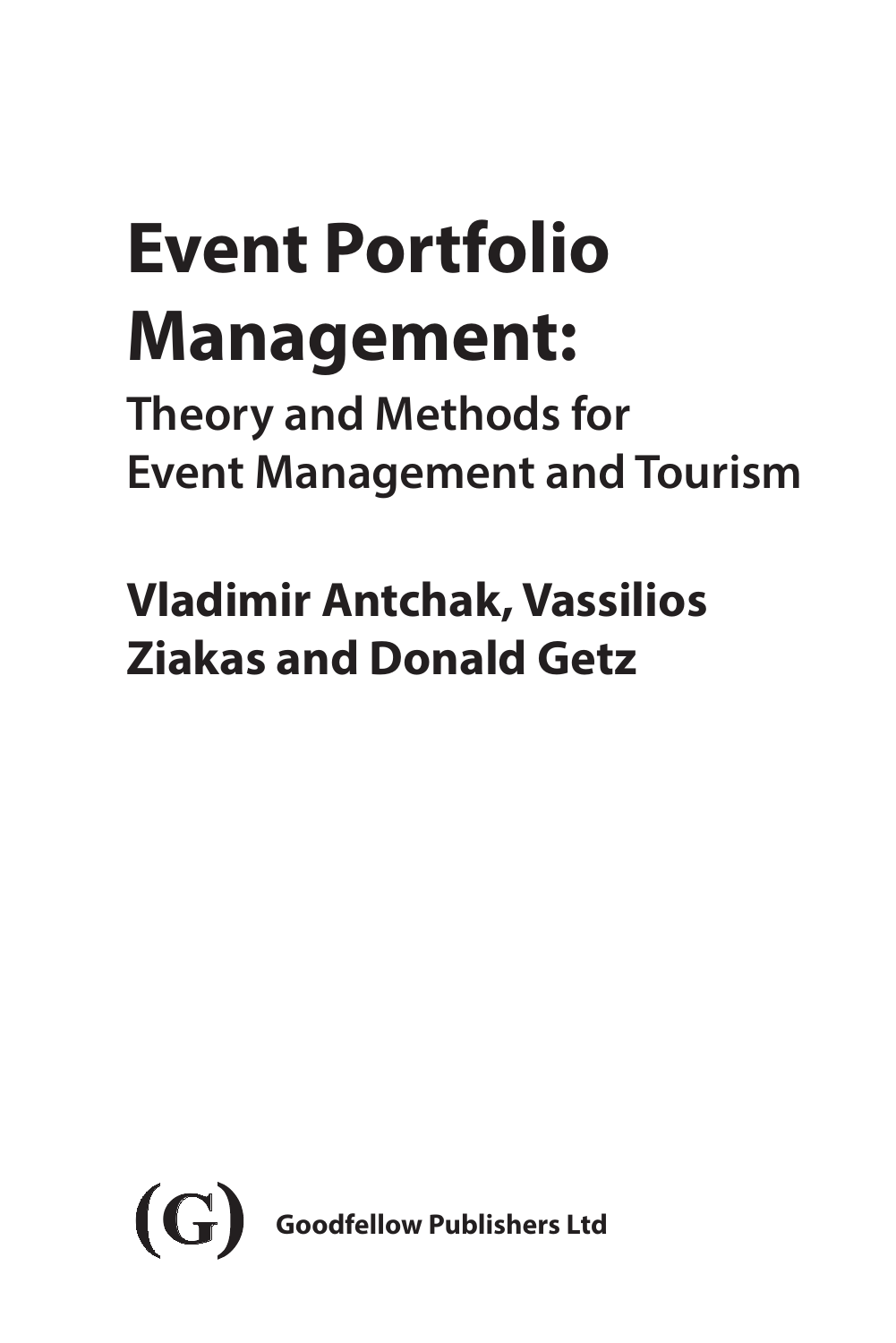# **Event Portfolio Management:**

**Theory and Methods for Event Management and Tourism**

## **Vladimir Antchak, Vassilios Ziakas and Donald Getz**

<span id="page-0-0"></span>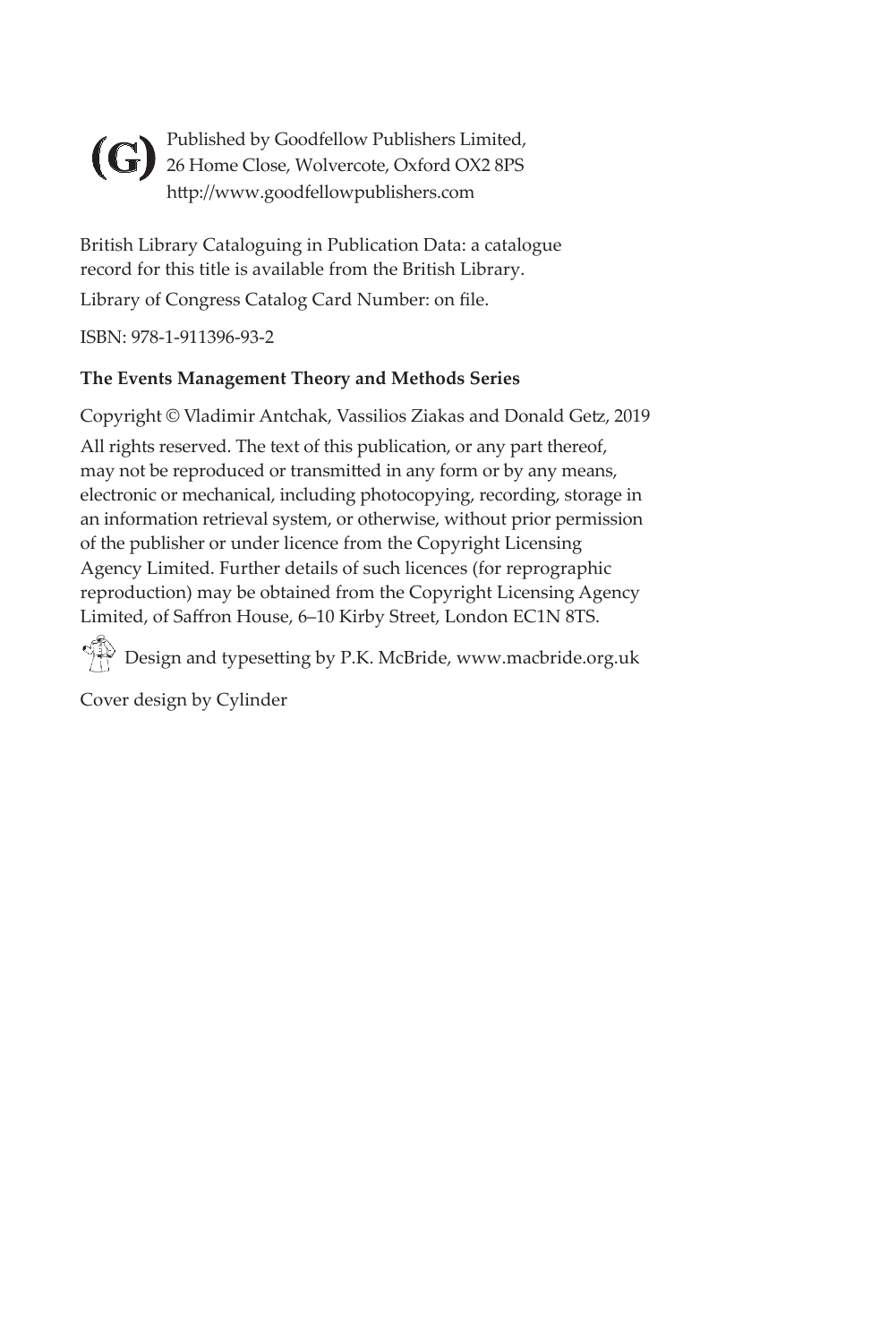<span id="page-1-0"></span>Published by Goodfellow Publishers Limited, 26 Home Close, Wolvercote, Oxford OX2 8PS **(G)**http://www.goodfellowpublishers.com

British Library Cataloguing in Publication Data: a catalogue record for this title is available from the British Library. Library of Congress Catalog Card Number: on file.

ISBN: 978-1-911396-93-2

#### **The Events Management Theory and Methods Series**

Copyright © Vladimir Antchak, Vassilios Ziakas and Donald Getz, 2019 All rights reserved. The text of this publication, or any part thereof, may not be reproduced or transmitted in any form or by any means, electronic or mechanical, including photocopying, recording, storage in an information retrieval system, or otherwise, without prior permission of the publisher or under licence from the Copyright Licensing Agency Limited. Further details of such licences (for reprographic reproduction) may be obtained from the Copyright Licensing Agency Limited, of Saffron House, 6–10 Kirby Street, London EC1N 8TS.

 $\Diamond$  Design and typesetting by P.K. McBride, www.macbride.org.uk

Cover design by Cylinder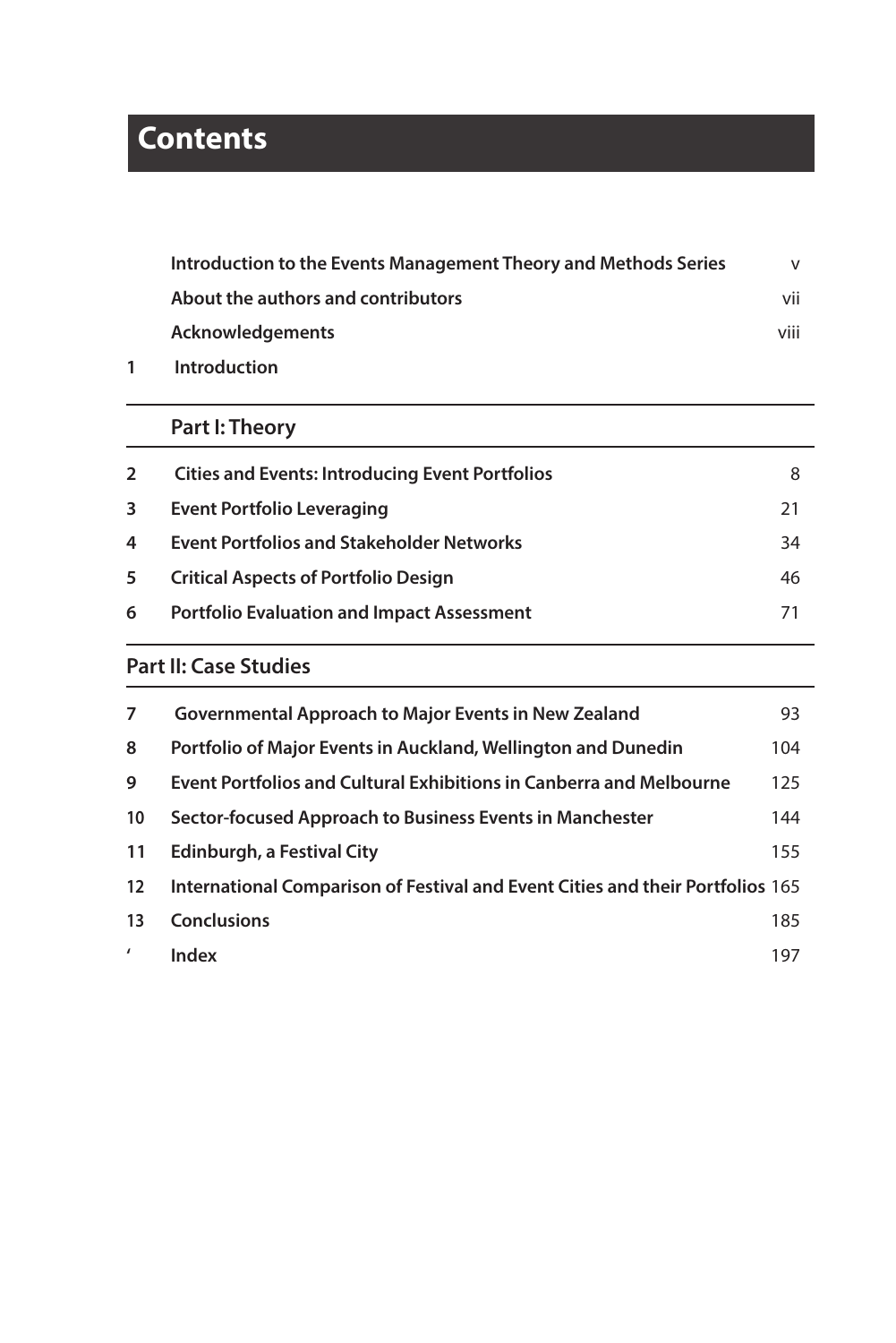## <span id="page-2-0"></span>**Contents**

| Introduction to the Events Management Theory and Methods Series | v    |
|-----------------------------------------------------------------|------|
| About the authors and contributors                              | vii  |
| <b>Acknowledgements</b>                                         | viii |
| <b>Introduction</b>                                             |      |

## **[Part I: Theory](#page-0-0)**

| $\mathbf{2}$ | <b>Cities and Events: Introducing Event Portfolios</b> | 8  |
|--------------|--------------------------------------------------------|----|
| 3            | Event Portfolio Leveraging                             | 21 |
| 4            | <b>Event Portfolios and Stakeholder Networks</b>       | 34 |
| 5            | <b>Critical Aspects of Portfolio Design</b>            | 46 |
| 6            | <b>Portfolio Evaluation and Impact Assessment</b>      | 71 |
|              |                                                        |    |

## **[Part II: Case Studies](#page-0-0)**

| 7                 | <b>Governmental Approach to Major Events in New Zealand</b>                    | 93  |
|-------------------|--------------------------------------------------------------------------------|-----|
| 8                 | Portfolio of Major Events in Auckland, Wellington and Dunedin                  | 104 |
| 9                 | <b>Event Portfolios and Cultural Exhibitions in Canberra and Melbourne</b>     | 125 |
| 10                | Sector-focused Approach to Business Events in Manchester                       | 144 |
| 11                | Edinburgh, a Festival City                                                     | 155 |
| $12 \overline{ }$ | International Comparison of Festival and Event Cities and their Portfolios 165 |     |
| 13                | <b>Conclusions</b>                                                             | 185 |
|                   | Index                                                                          | 197 |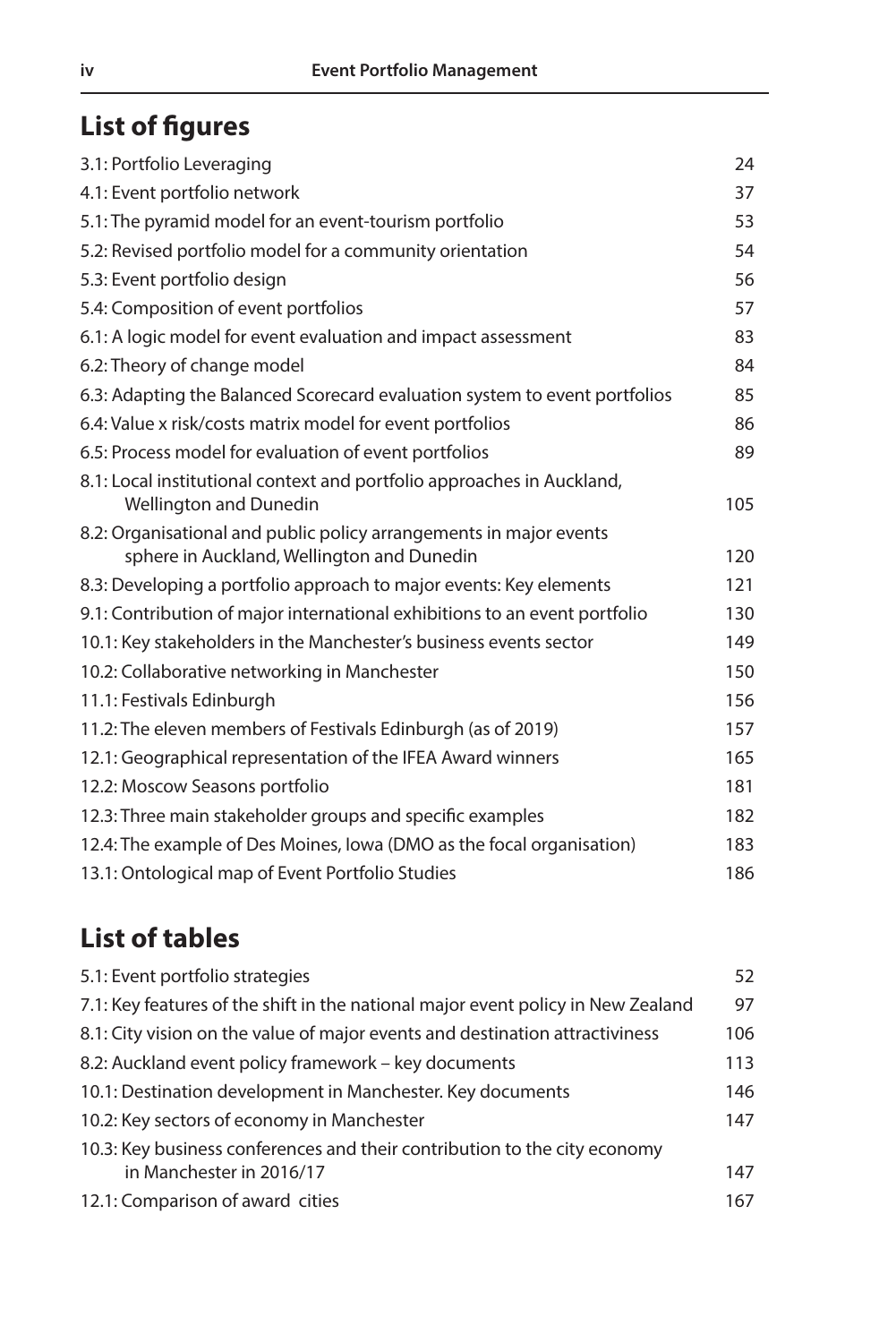## **List of figures**

| 3.1: Portfolio Leveraging                                                                                        | 24  |
|------------------------------------------------------------------------------------------------------------------|-----|
| 4.1: Event portfolio network                                                                                     | 37  |
| 5.1: The pyramid model for an event-tourism portfolio                                                            | 53  |
| 5.2: Revised portfolio model for a community orientation                                                         | 54  |
| 5.3: Event portfolio design                                                                                      | 56  |
| 5.4: Composition of event portfolios                                                                             | 57  |
| 6.1: A logic model for event evaluation and impact assessment                                                    | 83  |
| 6.2: Theory of change model                                                                                      | 84  |
| 6.3: Adapting the Balanced Scorecard evaluation system to event portfolios                                       | 85  |
| 6.4: Value x risk/costs matrix model for event portfolios                                                        | 86  |
| 6.5: Process model for evaluation of event portfolios                                                            | 89  |
| 8.1: Local institutional context and portfolio approaches in Auckland,<br><b>Wellington and Dunedin</b>          | 105 |
| 8.2: Organisational and public policy arrangements in major events<br>sphere in Auckland, Wellington and Dunedin | 120 |
| 8.3: Developing a portfolio approach to major events: Key elements                                               | 121 |
| 9.1: Contribution of major international exhibitions to an event portfolio                                       | 130 |
| 10.1: Key stakeholders in the Manchester's business events sector                                                | 149 |
| 10.2: Collaborative networking in Manchester                                                                     | 150 |
| 11.1: Festivals Edinburgh                                                                                        | 156 |
| 11.2: The eleven members of Festivals Edinburgh (as of 2019)                                                     | 157 |
| 12.1: Geographical representation of the IFEA Award winners                                                      | 165 |
| 12.2: Moscow Seasons portfolio                                                                                   | 181 |
| 12.3: Three main stakeholder groups and specific examples                                                        | 182 |
| 12.4: The example of Des Moines, Iowa (DMO as the focal organisation)                                            | 183 |
| 13.1: Ontological map of Event Portfolio Studies                                                                 | 186 |

## **List of tables**

| 5.1: Event portfolio strategies                                                  | 52  |
|----------------------------------------------------------------------------------|-----|
| 7.1: Key features of the shift in the national major event policy in New Zealand | 97  |
| 8.1: City vision on the value of major events and destination attractiviness     | 106 |
| 8.2: Auckland event policy framework – key documents                             | 113 |
| 10.1: Destination development in Manchester. Key documents                       | 146 |
| 10.2: Key sectors of economy in Manchester                                       | 147 |
| 10.3: Key business conferences and their contribution to the city economy        |     |
| in Manchester in 2016/17                                                         | 147 |
| 12.1: Comparison of award cities                                                 | 167 |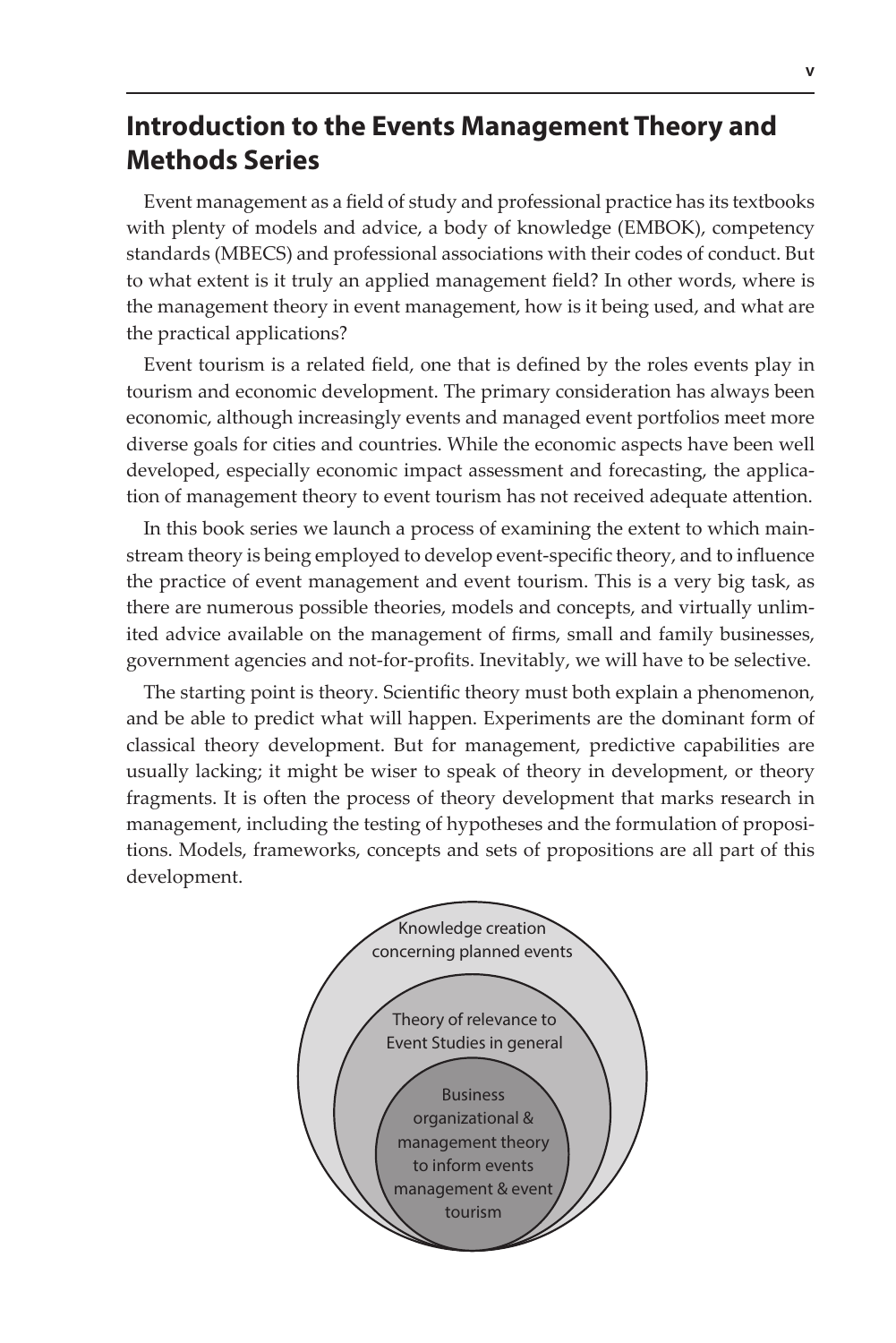## <span id="page-4-0"></span>**Introduction to the Events Management Theory and Methods Series**

Event management as a field of study and professional practice has its textbooks with plenty of models and advice, a body of knowledge (EMBOK), competency standards (MBECS) and professional associations with their codes of conduct. But to what extent is it truly an applied management field? In other words, where is the management theory in event management, how is it being used, and what are the practical applications?

Event tourism is a related field, one that is defined by the roles events play in tourism and economic development. The primary consideration has always been economic, although increasingly events and managed event portfolios meet more diverse goals for cities and countries. While the economic aspects have been well developed, especially economic impact assessment and forecasting, the application of management theory to event tourism has not received adequate attention.

In this book series we launch a process of examining the extent to which mainstream theory is being employed to develop event-specific theory, and to influence the practice of event management and event tourism. This is a very big task, as there are numerous possible theories, models and concepts, and virtually unlimited advice available on the management of firms, small and family businesses, government agencies and not-for-profits. Inevitably, we will have to be selective.

The starting point is theory. Scientific theory must both explain a phenomenon, and be able to predict what will happen. Experiments are the dominant form of classical theory development. But for management, predictive capabilities are usually lacking; it might be wiser to speak of theory in development, or theory fragments. It is often the process of theory development that marks research in management, including the testing of hypotheses and the formulation of propositions. Models, frameworks, concepts and sets of propositions are all part of this development.

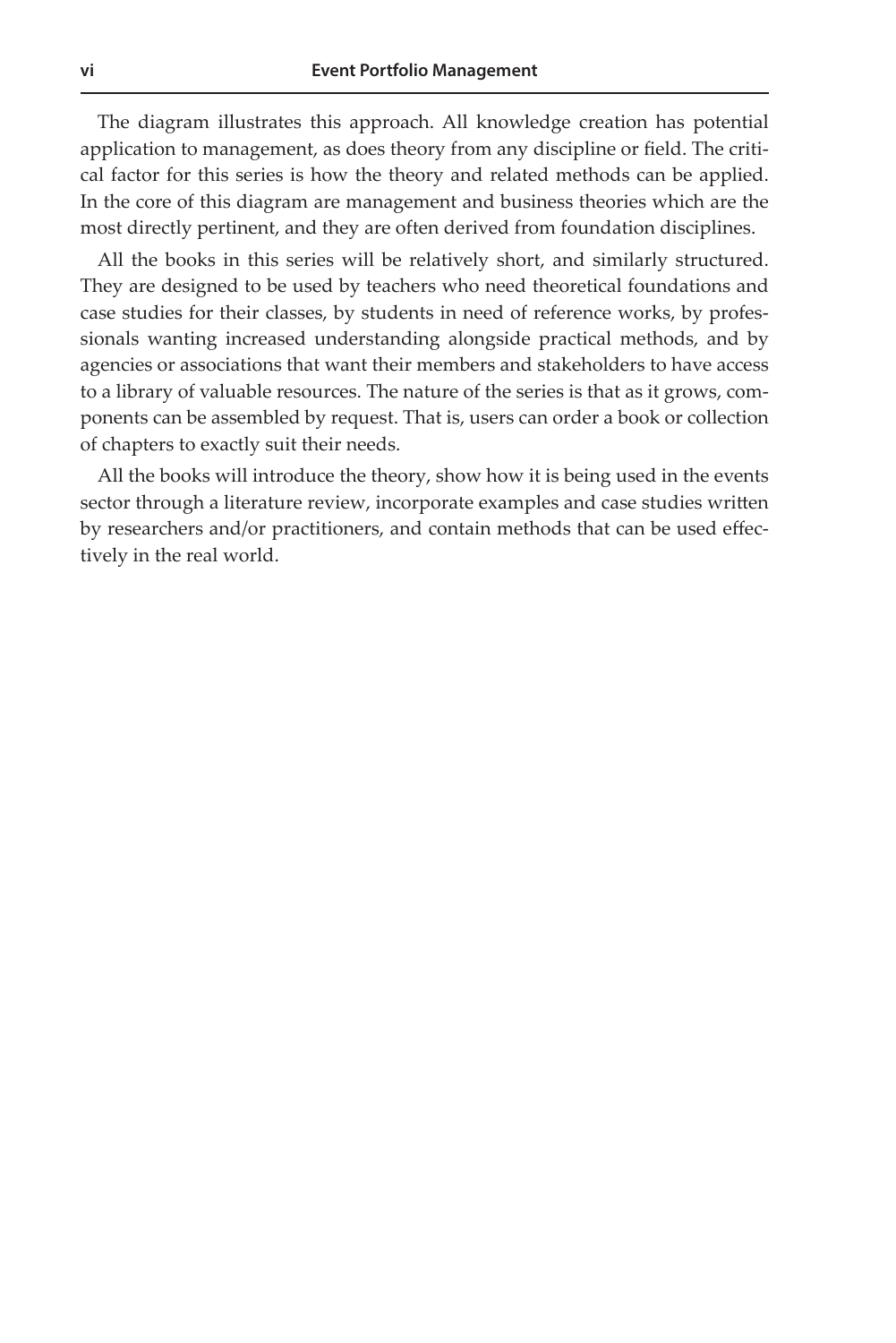<span id="page-5-0"></span>The diagram illustrates this approach. All knowledge creation has potential application to management, as does theory from any discipline or field. The critical factor for this series is how the theory and related methods can be applied. In the core of this diagram are management and business theories which are the most directly pertinent, and they are often derived from foundation disciplines.

All the books in this series will be relatively short, and similarly structured. They are designed to be used by teachers who need theoretical foundations and case studies for their classes, by students in need of reference works, by professionals wanting increased understanding alongside practical methods, and by agencies or associations that want their members and stakeholders to have access to a library of valuable resources. The nature of the series is that as it grows, components can be assembled by request. That is, users can order a book or collection of chapters to exactly suit their needs.

All the books will introduce the theory, show how it is being used in the events sector through a literature review, incorporate examples and case studies written by researchers and/or practitioners, and contain methods that can be used effectively in the real world.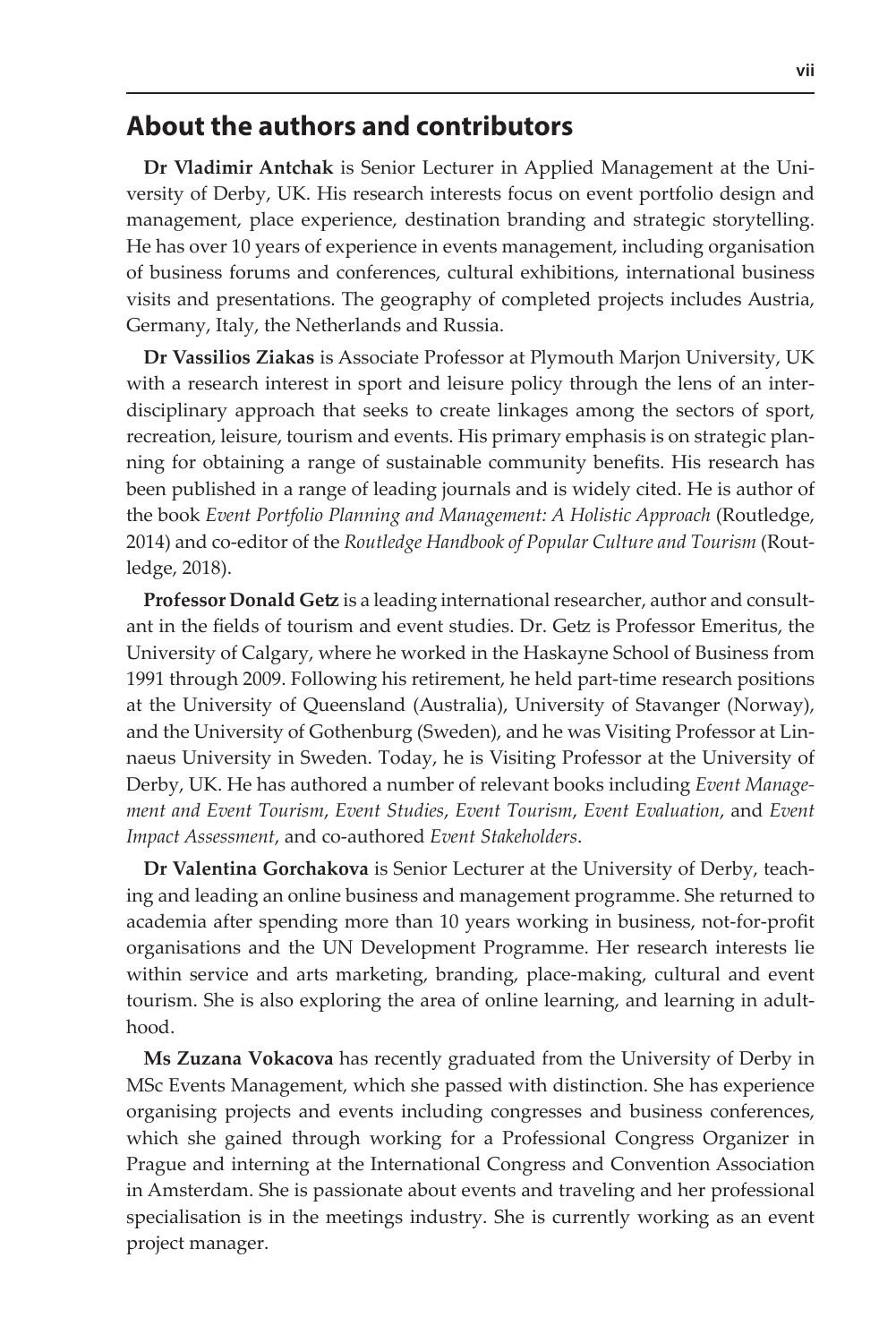#### <span id="page-6-0"></span>**About the authors and contributors**

**Dr Vladimir Antchak** is Senior Lecturer in Applied Management at the University of Derby, UK. His research interests focus on event portfolio design and management, place experience, destination branding and strategic storytelling. He has over 10 years of experience in events management, including organisation of business forums and conferences, cultural exhibitions, international business visits and presentations. The geography of completed projects includes Austria, Germany, Italy, the Netherlands and Russia.

**Dr Vassilios Ziakas** is Associate Professor at Plymouth Marjon University, UK with a research interest in sport and leisure policy through the lens of an interdisciplinary approach that seeks to create linkages among the sectors of sport, recreation, leisure, tourism and events. His primary emphasis is on strategic planning for obtaining a range of sustainable community benefits. His research has been published in a range of leading journals and is widely cited. He is author of the book *Event Portfolio Planning and Management: A Holistic Approach* (Routledge, 2014) and co-editor of the *Routledge Handbook of Popular Culture and Tourism* (Routledge, 2018).

**Professor Donald Getz** is a leading international researcher, author and consultant in the fields of tourism and event studies. Dr. Getz is Professor Emeritus, the University of Calgary, where he worked in the Haskayne School of Business from 1991 through 2009. Following his retirement, he held part-time research positions at the University of Queensland (Australia), University of Stavanger (Norway), and the University of Gothenburg (Sweden), and he was Visiting Professor at Linnaeus University in Sweden. Today, he is Visiting Professor at the University of Derby, UK. He has authored a number of relevant books including *Event Management and Event Tourism*, *Event Studies*, *Event Tourism*, *Event Evaluation*, and *Event Impact Assessment*, and co-authored *Event Stakeholders*.

**Dr Valentina Gorchakova** is Senior Lecturer at the University of Derby, teaching and leading an online business and management programme. She returned to academia after spending more than 10 years working in business, not-for-profit organisations and the UN Development Programme. Her research interests lie within service and arts marketing, branding, place-making, cultural and event tourism. She is also exploring the area of online learning, and learning in adulthood.

**Ms Zuzana Vokacova** has recently graduated from the University of Derby in MSc Events Management, which she passed with distinction. She has experience organising projects and events including congresses and business conferences, which she gained through working for a Professional Congress Organizer in Prague and interning at the International Congress and Convention Association in Amsterdam. She is passionate about events and traveling and her professional specialisation is in the meetings industry. She is currently working as an event project manager.